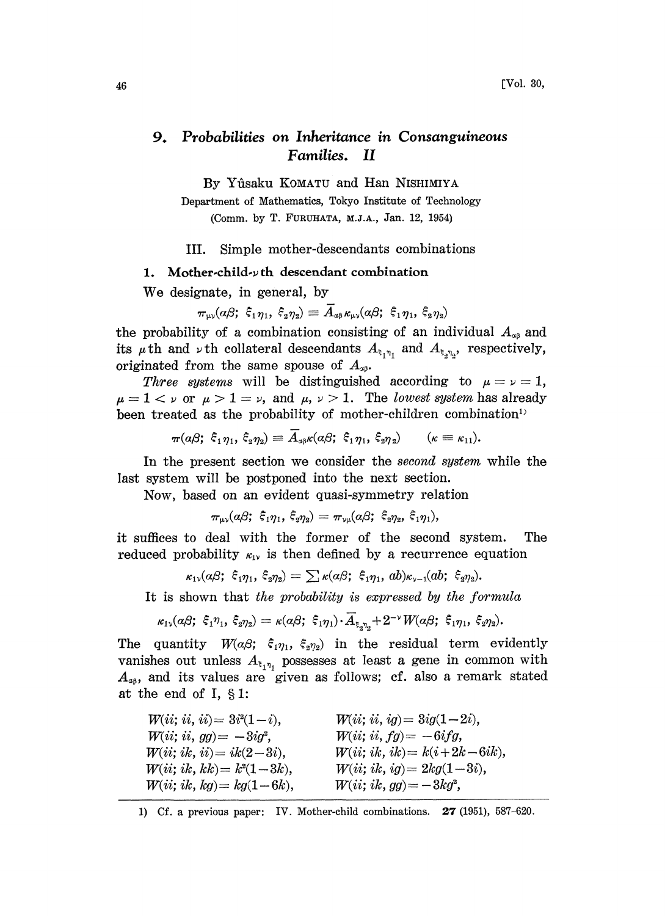## 9. Probabilities on Inheritance in Consanguineous Families. II

By Yfisaku KOMATU and Han NISHIMIYA

Department of Mathematics, Tokyo Institute of Technology (Comm. by T. FURUHATA, M.J.A., Jan. 12, 1954)

III. Simple mother-descendants combinations

## 1. Mother-child- $\nu$ th descendant combination

We designate, in general, by

$$
\pi_{\mu\nu}(a\beta;\ \xi_1\eta_1,\ \xi_2\eta_2)\equiv A_{a\beta}\kappa_{\mu\nu}(a\beta;\ \xi_1\eta_1,\ \xi_2\eta_2)
$$

the probability of a combination consisting of an individual  $A_{\alpha\beta}$  and its  $\mu$ th and  $\nu$ th collateral descendants  $A_{\xi_1\eta_1}$  and  $A_{\xi_2\eta_2}$ , respectively, originated from the same spouse of  $A_{\alpha\beta}$ .

Three systems will be distinguished according to  $\mu = \nu = 1$ ,  $\mu = 1 < \nu$  or  $\mu > 1 = \nu$ , and  $\mu$ ,  $\nu > 1$ . The lowest system has already been treated as the probability of mother-children combination<sup>1)</sup>

$$
\pi(a\beta; \xi_1\eta_1, \xi_2\eta_2) \equiv A_{a\beta}\kappa(a\beta; \xi_1\eta_1, \xi_2\eta_2) \qquad (\kappa \equiv \kappa_{11}).
$$

In the present section we consider the *second system* while the last system will be postponed into the next section.

Now, based on an evident quasi-symmetry relation

$$
\pi_{\mu\nu} (a \beta; \,\, \hat{\xi}_1 \eta_1, \,\hat{\xi}_2 \eta_2) = \pi_{\nu \mu} (a \beta; \,\, \hat{\xi}_2 \eta_2, \,\, \hat{\xi}_1 \eta_1),
$$

it suffices to deal with the former of the second system. The reduced probability  $\kappa_{1}$  is then defined by a recurrence equation

$$
_{\kappa_1\mathbf{v}}(a\beta;\ \hat{\varepsilon}_{\mathbf{1}} \eta_1,\ \hat{\varepsilon}_{\mathbf{2}} \eta_2)=\sum \kappa(a\beta;\ \hat{\varepsilon}_{\mathbf{1}} \eta_1,\ ab)_{\kappa_{\mathbf{v}-\mathbf{1}}}(ab;\ \hat{\varepsilon}_{\mathbf{2}} \eta_2).
$$

It is shown that the probability is expressed by the formula

$$
\kappa_{1\mathbf{v}}(a\beta;\ \hat{\xi}_{1}\eta_{1},\ \hat{\xi}_{2}\eta_{2})=\kappa(a\beta;\ \hat{\xi}_{1}\eta_{1})\!\cdot\! A_{\xi,\eta_{\mathbf{v}}}+2^{-\mathbf{v}}W(a\beta;\ \hat{\xi}_{1}\eta_{1},\ \hat{\xi}_{2}\eta_{2}).
$$

The quantity  $W(\alpha\beta; \xi_1\eta_1, \xi_2\eta_2)$  in the residual term evidently vanishes out unless  $A_{\xi_1\eta_1}$  possesses at least a gene in common with  $A_{\alpha\beta}$ , and its values are given as follows; cf. also a remark stated at the end of I,  $\S 1$ :

 $W(ii; ii, ii) = 3i^2(1-i),$  $W(ii; ii, gg) = -3ig^2$ ,  $W(ii; i k, ii) = i k (2-3i),$  $W(ii; ik, kk) = k<sup>2</sup>(1-3k),$  $W(ii; ik, kg) = kg(1-6k),$  $W(ii; ii, ig) = 3ig(1-2i),$  $W(ii; ii, fg) = -6ifg,$  $W(ii; ik, ik) = k(i + 2k - 6ik),$  $W(ii; ik, ig) = 2kg(1-3i),$  $W(ii; ik, gg) = -3kg^{2},$ 

1) Cf. a previous paper: IV. Mother-child combinations. 27 (1951), 587-620.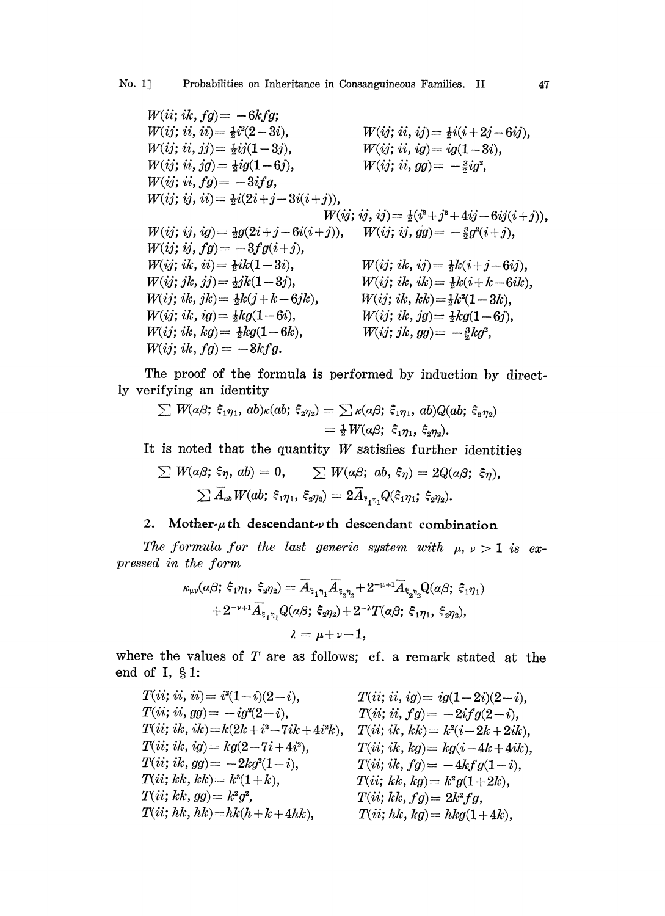$W(ii; ik, fg) = -6kfg;$  $W(ij; ii, ii) = \frac{1}{2}i^2(2-3i),$  $W(ij; ii, jj) = \frac{1}{2}ij(1-3j),$  $W(ij; ii, jg) = \frac{1}{2}ig(1-6j),$  $W(ij; ii, fg) = -3ifg,$  $W(ij; ij, ii) = \frac{1}{2}i(2i + j - 3i(i + j)),$  $W(ij; ij, ij) = \frac{1}{2}(i^2+j^2+4ij-6ij(i+j)).$  $W(ij; ij, ig) = \frac{1}{2}g(2i + j - 6i(i + j)),$  $W(ij; ij, fg) = -3fg(i+j),$  $W(ij; i k, ii) = \frac{1}{2}i k(1-3i),$  $W(ij; jk, jj) = \frac{1}{2}jk(1-3j),$  $W(ij; i k, j k) = \frac{1}{2}k(j + k - 6jk),$  $W(ij; i k, i g) = \frac{1}{2} k g (1-6i),$  $W(ij; i k, k g) = \frac{1}{2} k g (1-6k),$  $W(ij; i k, fg) = -3kfg.$  $W(ij; ii, ij) = \frac{1}{2}i(i + 2j - 6ij),$  $W(ij; ii, ig) = ig(1-3i),$  $W(ij; ii, gg) = -\frac{3}{2}ig^2$ ,  $W(ij; i k, i j) = \frac{1}{2}k(i + j - 6i j),$  $W(ij; i k, i k) = \frac{1}{2}k(i + k - 6ik),$  $W(ij; i k, k k) = \frac{1}{2}k^2(1 - 3k),$  $W(ij; i k, j g) = \frac{1}{2} k g (1-6j),$  $W(ij; jk, gg) = -\frac{3}{2}kg^2$ ,  $W(ij; ij, gg) = -\frac{3}{2}g^2(i+j),$ 

The proof of the formula is performed by induction by directly verifying an identity

ifying an identity  
\n
$$
\sum W(\alpha\beta; \xi_1\eta_1, ab)\kappa(ab; \xi_2\eta_2) = \sum \kappa(\alpha\beta; \xi_1\eta_1, ab)Q(ab; \xi_2\eta_2)
$$
\n
$$
= \frac{1}{2}W(\alpha\beta; \xi_1\eta_1, \xi_2\eta_2).
$$

It is noted that the quantity  $W$  satisfies further identities

$$
\sum W(a\beta; \xi\eta, ab) = 0, \qquad \sum W(a\beta; ab, \xi\eta) = 2Q(a\beta; \xi\eta),
$$
  

$$
\sum \overline{A}_{ab}W(ab; \xi_1\eta_1, \xi_2\eta_2) = 2\overline{A}_{\xi_1\eta_1}Q(\xi_1\eta_1; \xi_2\eta_2).
$$

## 2. Mother- $\mu$ th descendant- $\nu$ th descendant combination

The formula for the last generic system with  $\mu$ ,  $\nu > 1$  is expressed in the form

$$
\begin{aligned} \kappa_{\mu\nu}(\alpha\beta;\; \xi_1\eta_1,\; \xi_2\eta_2) &= \overline{A}_{\xi_1\eta_1} \overline{A}_{\xi_2\eta_2} + 2^{-\mu+1} \overline{A}_{\xi_2\eta_2} Q(\alpha\beta;\; \xi_1\eta_1) \\ &\quad + 2^{-\nu+1} \overline{A}_{\xi_1\eta_1} Q(\alpha\beta;\; \xi_2\eta_2) + 2^{-\lambda} T(\alpha\beta;\; \xi_1\eta_1,\; \xi_2\eta_2), \\ \lambda &= \mu + \nu - 1. \end{aligned}
$$

where the values of  $T$  are as follows; cf. a remark stated at the end of I,  $§ 1$ :

$$
T(ii; ii, ii) = i^{2}(1-i)(2-i), \t T(ii; ii, ig) = ig(1-2i)(2-i),T(ii; ii, gg) = -ig^{2}(2-i), \t T(ii; ii, fg) = -2ifg(2-i),T(ii; ik, ik) = k(2k+i^{2}-7ik+4i^{2}k), \t T(ii; ik, kk) = k^{2}(i-2k+2ik),T(ii; ik, ig) = kg(2-7i+4i^{2}), \t T(ii; ik, kg) = kg(i-4k+4ik),T(ii; ik, kk) = k^{3}(1-i), \t T(ii; ik, fg) = -4kfg(1-i),T(ii; kk, kk) = k^{3}(1+k), \t T(ii; kk, kg) = k^{2}g(1+2k),T(ii; kk, hk) = hk(kh+k+4hk), \t T(ii; kk, kg) = hkg(1+4k),
$$